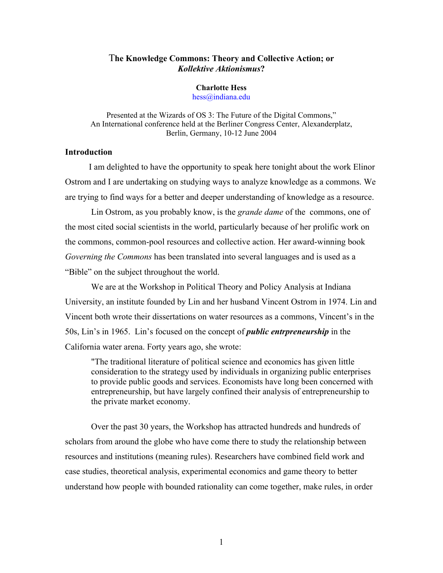# T**he Knowledge Commons: Theory and Collective Action; or**  *Kollektive Aktionismus***?**

# **Charlotte Hess**

hess@indiana.edu

Presented at the Wizards of OS 3: The Future of the Digital Commons," An International conference held at the Berliner Congress Center, Alexanderplatz, Berlin, Germany, 10-12 June 2004

### **Introduction**

 I am delighted to have the opportunity to speak here tonight about the work Elinor Ostrom and I are undertaking on studying ways to analyze knowledge as a commons. We are trying to find ways for a better and deeper understanding of knowledge as a resource.

 Lin Ostrom, as you probably know, is the *grande dame* of the commons, one of the most cited social scientists in the world, particularly because of her prolific work on the commons, common-pool resources and collective action. Her award-winning book *Governing the Commons* has been translated into several languages and is used as a "Bible" on the subject throughout the world.

We are at the Workshop in Political Theory and Policy Analysis at Indiana University, an institute founded by Lin and her husband Vincent Ostrom in 1974. Lin and Vincent both wrote their dissertations on water resources as a commons, Vincent's in the 50s, Lin's in 1965. Lin's focused on the concept of *public entrpreneurship* in the California water arena. Forty years ago, she wrote:

"The traditional literature of political science and economics has given little consideration to the strategy used by individuals in organizing public enterprises to provide public goods and services. Economists have long been concerned with entrepreneurship, but have largely confined their analysis of entrepreneurship to the private market economy.

Over the past 30 years, the Workshop has attracted hundreds and hundreds of scholars from around the globe who have come there to study the relationship between resources and institutions (meaning rules). Researchers have combined field work and case studies, theoretical analysis, experimental economics and game theory to better understand how people with bounded rationality can come together, make rules, in order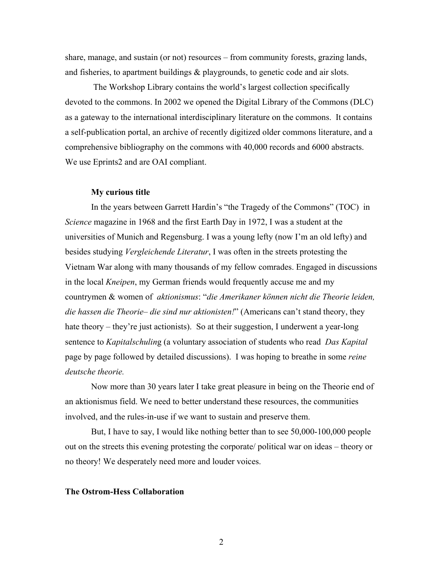share, manage, and sustain (or not) resources – from community forests, grazing lands, and fisheries, to apartment buildings & playgrounds, to genetic code and air slots.

 The Workshop Library contains the world's largest collection specifically devoted to the commons. In 2002 we opened the Digital Library of the Commons (DLC) as a gateway to the international interdisciplinary literature on the commons. It contains a self-publication portal, an archive of recently digitized older commons literature, and a comprehensive bibliography on the commons with 40,000 records and 6000 abstracts. We use Eprints2 and are OAI compliant.

#### **My curious title**

 In the years between Garrett Hardin's "the Tragedy of the Commons" (TOC) in *Science* magazine in 1968 and the first Earth Day in 1972, I was a student at the universities of Munich and Regensburg. I was a young lefty (now I'm an old lefty) and besides studying *Vergleichende Literatur*, I was often in the streets protesting the Vietnam War along with many thousands of my fellow comrades. Engaged in discussions in the local *Kneipen*, my German friends would frequently accuse me and my countrymen & women of *aktionismus*: "*die Amerikaner können nicht die Theorie leiden, die hassen die Theorie– die sind nur aktionisten!*" (Americans can't stand theory, they hate theory – they're just actionists). So at their suggestion, I underwent a year-long sentence to *Kapitalschulin*g (a voluntary association of students who read *Das Kapital*  page by page followed by detailed discussions). I was hoping to breathe in some *reine deutsche theorie.*

Now more than 30 years later I take great pleasure in being on the Theorie end of an aktionismus field. We need to better understand these resources, the communities involved, and the rules-in-use if we want to sustain and preserve them.

But, I have to say, I would like nothing better than to see 50,000-100,000 people out on the streets this evening protesting the corporate/ political war on ideas – theory or no theory! We desperately need more and louder voices.

#### **The Ostrom-Hess Collaboration**

2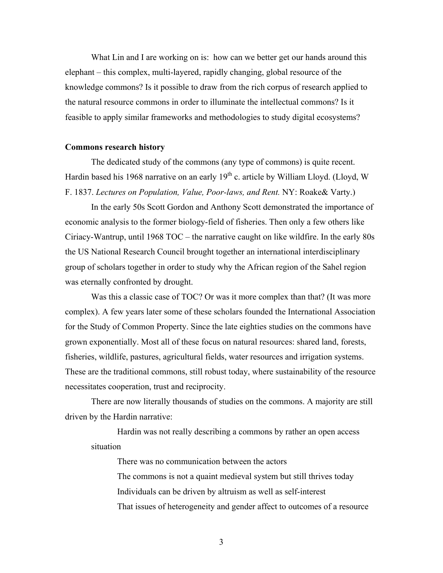What Lin and I are working on is: how can we better get our hands around this elephant – this complex, multi-layered, rapidly changing, global resource of the knowledge commons? Is it possible to draw from the rich corpus of research applied to the natural resource commons in order to illuminate the intellectual commons? Is it feasible to apply similar frameworks and methodologies to study digital ecosystems?

#### **Commons research history**

The dedicated study of the commons (any type of commons) is quite recent. Hardin based his 1968 narrative on an early  $19<sup>th</sup>$  c. article by William Lloyd. (Lloyd, W F. 1837. *Lectures on Population, Value, Poor-laws, and Rent.* NY: Roake& Varty.)

In the early 50s Scott Gordon and Anthony Scott demonstrated the importance of economic analysis to the former biology-field of fisheries. Then only a few others like Ciriacy-Wantrup, until 1968 TOC – the narrative caught on like wildfire. In the early 80s the US National Research Council brought together an international interdisciplinary group of scholars together in order to study why the African region of the Sahel region was eternally confronted by drought.

Was this a classic case of TOC? Or was it more complex than that? (It was more complex). A few years later some of these scholars founded the International Association for the Study of Common Property. Since the late eighties studies on the commons have grown exponentially. Most all of these focus on natural resources: shared land, forests, fisheries, wildlife, pastures, agricultural fields, water resources and irrigation systems. These are the traditional commons, still robust today, where sustainability of the resource necessitates cooperation, trust and reciprocity.

There are now literally thousands of studies on the commons. A majority are still driven by the Hardin narrative:

Hardin was not really describing a commons by rather an open access situation

> There was no communication between the actors The commons is not a quaint medieval system but still thrives today Individuals can be driven by altruism as well as self-interest That issues of heterogeneity and gender affect to outcomes of a resource

> > 3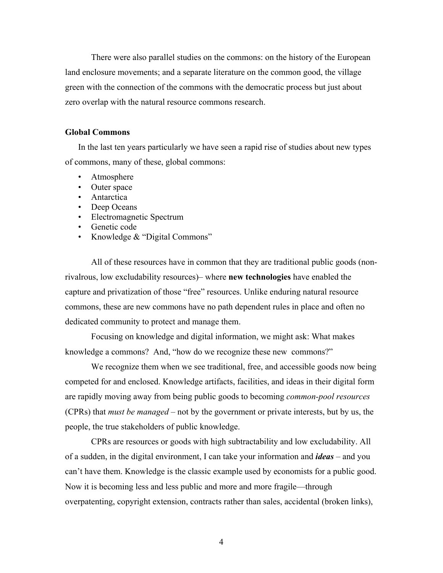There were also parallel studies on the commons: on the history of the European land enclosure movements; and a separate literature on the common good, the village green with the connection of the commons with the democratic process but just about zero overlap with the natural resource commons research.

#### **Global Commons**

In the last ten years particularly we have seen a rapid rise of studies about new types of commons, many of these, global commons:

- Atmosphere
- Outer space
- Antarctica
- Deep Oceans
- Electromagnetic Spectrum
- Genetic code
- Knowledge & "Digital Commons"

All of these resources have in common that they are traditional public goods (nonrivalrous, low excludability resources)– where **new technologies** have enabled the capture and privatization of those "free" resources. Unlike enduring natural resource commons, these are new commons have no path dependent rules in place and often no dedicated community to protect and manage them.

 Focusing on knowledge and digital information, we might ask: What makes knowledge a commons? And, "how do we recognize these new commons?"

We recognize them when we see traditional, free, and accessible goods now being competed for and enclosed. Knowledge artifacts, facilities, and ideas in their digital form are rapidly moving away from being public goods to becoming *common-pool resources*  (CPRs) that *must be managed* – not by the government or private interests, but by us, the people, the true stakeholders of public knowledge.

 CPRs are resources or goods with high subtractability and low excludability. All of a sudden, in the digital environment, I can take your information and *ideas* – and you can't have them. Knowledge is the classic example used by economists for a public good. Now it is becoming less and less public and more and more fragile—through overpatenting, copyright extension, contracts rather than sales, accidental (broken links),

4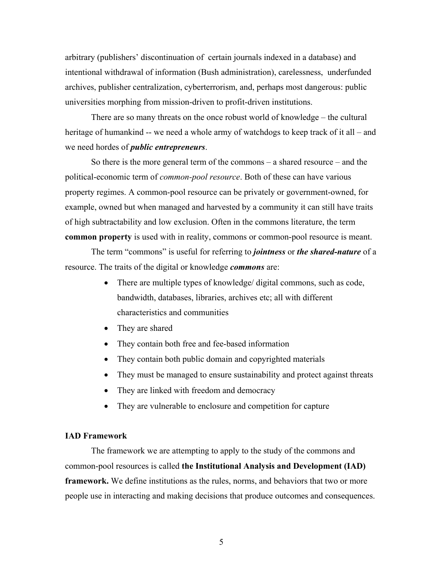arbitrary (publishers' discontinuation of certain journals indexed in a database) and intentional withdrawal of information (Bush administration), carelessness, underfunded archives, publisher centralization, cyberterrorism, and, perhaps most dangerous: public universities morphing from mission-driven to profit-driven institutions.

 There are so many threats on the once robust world of knowledge – the cultural heritage of humankind -- we need a whole army of watchdogs to keep track of it all – and we need hordes of *public entrepreneurs*.

 So there is the more general term of the commons – a shared resource – and the political-economic term of *common-pool resource*. Both of these can have various property regimes. A common-pool resource can be privately or government-owned, for example, owned but when managed and harvested by a community it can still have traits of high subtractability and low exclusion. Often in the commons literature, the term **common property** is used with in reality, commons or common-pool resource is meant.

The term "commons" is useful for referring to *jointness* or *the shared-nature* of a resource. The traits of the digital or knowledge *commons* are:

- There are multiple types of knowledge/ digital commons, such as code, bandwidth, databases, libraries, archives etc; all with different characteristics and communities
- They are shared
- They contain both free and fee-based information
- They contain both public domain and copyrighted materials
- They must be managed to ensure sustainability and protect against threats
- They are linked with freedom and democracy
- They are vulnerable to enclosure and competition for capture

#### **IAD Framework**

The framework we are attempting to apply to the study of the commons and common-pool resources is called **the Institutional Analysis and Development (IAD) framework.** We define institutions as the rules, norms, and behaviors that two or more people use in interacting and making decisions that produce outcomes and consequences.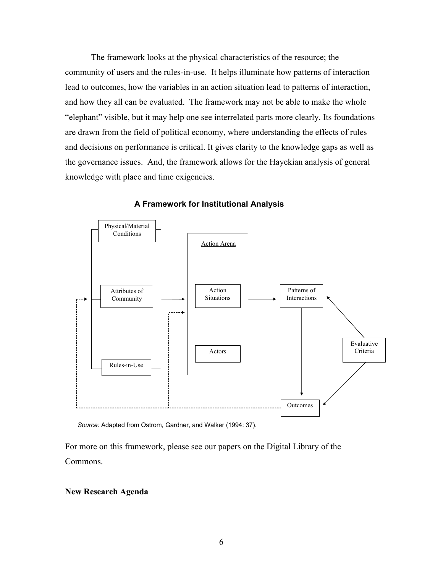The framework looks at the physical characteristics of the resource; the community of users and the rules-in-use. It helps illuminate how patterns of interaction lead to outcomes, how the variables in an action situation lead to patterns of interaction, and how they all can be evaluated. The framework may not be able to make the whole "elephant" visible, but it may help one see interrelated parts more clearly. Its foundations are drawn from the field of political economy, where understanding the effects of rules and decisions on performance is critical. It gives clarity to the knowledge gaps as well as the governance issues. And, the framework allows for the Hayekian analysis of general knowledge with place and time exigencies.



**A Framework for Institutional Analysis**

*Source:* Adapted from Ostrom, Gardner, and Walker (1994: 37).

For more on this framework, please see our papers on the Digital Library of the Commons.

## **New Research Agenda**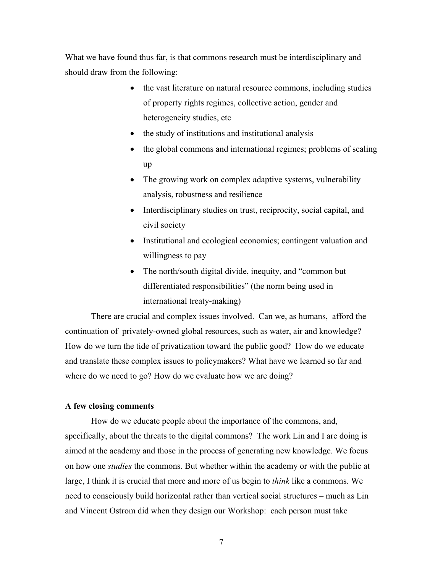What we have found thus far, is that commons research must be interdisciplinary and should draw from the following:

- the vast literature on natural resource commons, including studies of property rights regimes, collective action, gender and heterogeneity studies, etc
- the study of institutions and institutional analysis
- the global commons and international regimes; problems of scaling up
- The growing work on complex adaptive systems, vulnerability analysis, robustness and resilience
- Interdisciplinary studies on trust, reciprocity, social capital, and civil society
- Institutional and ecological economics; contingent valuation and willingness to pay
- The north/south digital divide, inequity, and "common but" differentiated responsibilities" (the norm being used in international treaty-making)

 There are crucial and complex issues involved. Can we, as humans, afford the continuation of privately-owned global resources, such as water, air and knowledge? How do we turn the tide of privatization toward the public good? How do we educate and translate these complex issues to policymakers? What have we learned so far and where do we need to go? How do we evaluate how we are doing?

# **A few closing comments**

 How do we educate people about the importance of the commons, and, specifically, about the threats to the digital commons? The work Lin and I are doing is aimed at the academy and those in the process of generating new knowledge. We focus on how one *studies* the commons. But whether within the academy or with the public at large, I think it is crucial that more and more of us begin to *think* like a commons. We need to consciously build horizontal rather than vertical social structures – much as Lin and Vincent Ostrom did when they design our Workshop: each person must take